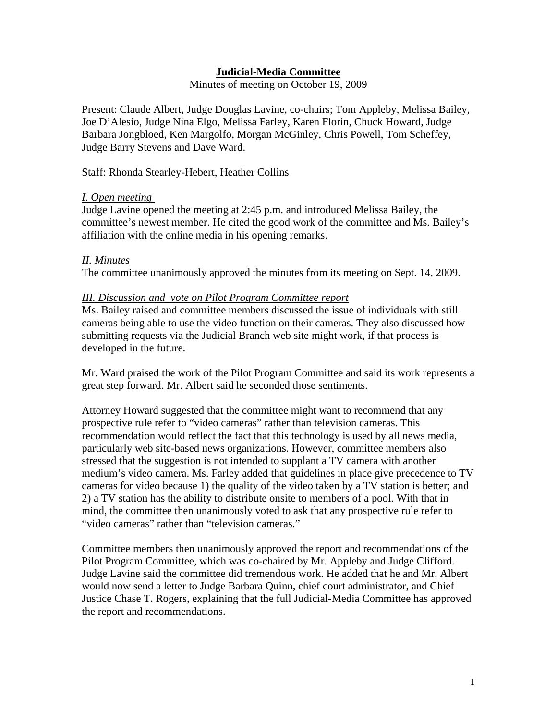# **Judicial-Media Committee**

Minutes of meeting on October 19, 2009

Present: Claude Albert, Judge Douglas Lavine, co-chairs; Tom Appleby, Melissa Bailey, Joe D'Alesio, Judge Nina Elgo, Melissa Farley, Karen Florin, Chuck Howard, Judge Barbara Jongbloed, Ken Margolfo, Morgan McGinley, Chris Powell, Tom Scheffey, Judge Barry Stevens and Dave Ward.

Staff: Rhonda Stearley-Hebert, Heather Collins

### *I. Open meeting*

Judge Lavine opened the meeting at 2:45 p.m. and introduced Melissa Bailey, the committee's newest member. He cited the good work of the committee and Ms. Bailey's affiliation with the online media in his opening remarks.

### *II. Minutes*

The committee unanimously approved the minutes from its meeting on Sept. 14, 2009.

#### *III. Discussion and vote on Pilot Program Committee report*

Ms. Bailey raised and committee members discussed the issue of individuals with still cameras being able to use the video function on their cameras. They also discussed how submitting requests via the Judicial Branch web site might work, if that process is developed in the future.

Mr. Ward praised the work of the Pilot Program Committee and said its work represents a great step forward. Mr. Albert said he seconded those sentiments.

Attorney Howard suggested that the committee might want to recommend that any prospective rule refer to "video cameras" rather than television cameras. This recommendation would reflect the fact that this technology is used by all news media, particularly web site-based news organizations. However, committee members also stressed that the suggestion is not intended to supplant a TV camera with another medium's video camera. Ms. Farley added that guidelines in place give precedence to TV cameras for video because 1) the quality of the video taken by a TV station is better; and 2) a TV station has the ability to distribute onsite to members of a pool. With that in mind, the committee then unanimously voted to ask that any prospective rule refer to "video cameras" rather than "television cameras."

Committee members then unanimously approved the report and recommendations of the Pilot Program Committee, which was co-chaired by Mr. Appleby and Judge Clifford. Judge Lavine said the committee did tremendous work. He added that he and Mr. Albert would now send a letter to Judge Barbara Quinn, chief court administrator, and Chief Justice Chase T. Rogers, explaining that the full Judicial-Media Committee has approved the report and recommendations.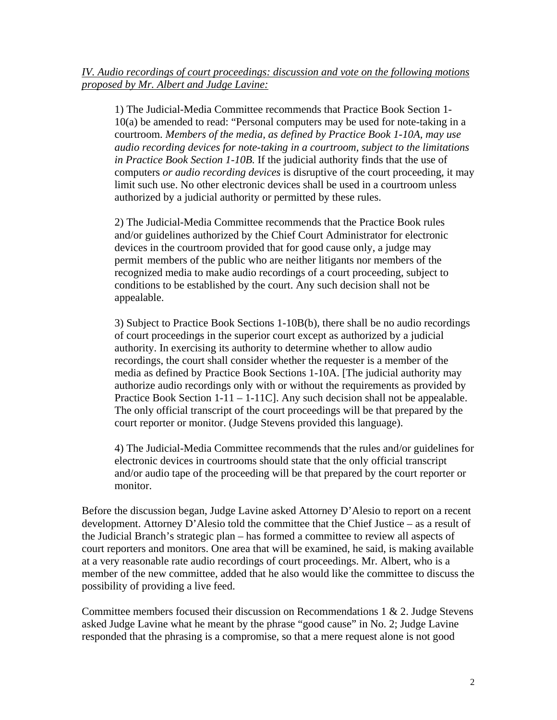1) The Judicial-Media Committee recommends that Practice Book Section 1- 10(a) be amended to read: "Personal computers may be used for note-taking in a courtroom. *Members of the media, as defined by Practice Book 1-10A, may use audio recording devices for note-taking in a courtroom, subject to the limitations in Practice Book Section 1-10B.* If the judicial authority finds that the use of computers *or audio recording devices* is disruptive of the court proceeding, it may limit such use. No other electronic devices shall be used in a courtroom unless authorized by a judicial authority or permitted by these rules.

 2) The Judicial-Media Committee recommends that the Practice Book rules and/or guidelines authorized by the Chief Court Administrator for electronic devices in the courtroom provided that for good cause only, a judge may permit members of the public who are neither litigants nor members of the recognized media to make audio recordings of a court proceeding, subject to conditions to be established by the court. Any such decision shall not be appealable.

 3) Subject to Practice Book Sections 1-10B(b), there shall be no audio recordings of court proceedings in the superior court except as authorized by a judicial authority. In exercising its authority to determine whether to allow audio recordings, the court shall consider whether the requester is a member of the media as defined by Practice Book Sections 1-10A. [The judicial authority may authorize audio recordings only with or without the requirements as provided by Practice Book Section  $1-11-1-11C$ . Any such decision shall not be appealable. The only official transcript of the court proceedings will be that prepared by the court reporter or monitor. (Judge Stevens provided this language).

 4) The Judicial-Media Committee recommends that the rules and/or guidelines for electronic devices in courtrooms should state that the only official transcript and/or audio tape of the proceeding will be that prepared by the court reporter or monitor.

Before the discussion began, Judge Lavine asked Attorney D'Alesio to report on a recent development. Attorney D'Alesio told the committee that the Chief Justice – as a result of the Judicial Branch's strategic plan – has formed a committee to review all aspects of court reporters and monitors. One area that will be examined, he said, is making available at a very reasonable rate audio recordings of court proceedings. Mr. Albert, who is a member of the new committee, added that he also would like the committee to discuss the possibility of providing a live feed.

Committee members focused their discussion on Recommendations  $1 \& 2$ . Judge Stevens asked Judge Lavine what he meant by the phrase "good cause" in No. 2; Judge Lavine responded that the phrasing is a compromise, so that a mere request alone is not good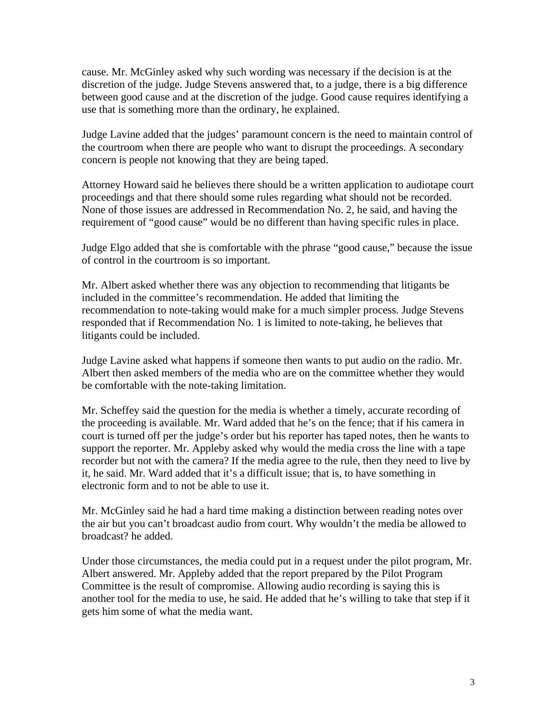cause. Mr. McGinley asked why such wording was necessary if the decision is at the discretion of the judge. Judge Stevens answered that, to a judge, there is a big difference between good cause and at the discretion of the judge. Good cause requires identifying a use that is something more than the ordinary, he explained.

Judge Lavine added that the judges' paramount concern is the need to maintain control of the courtroom when there are people who want to disrupt the proceedings. A secondary concern is people not knowing that they are being taped.

Attorney Howard said he believes there should be a written application to audiotape court proceedings and that there should some rules regarding what should not be recorded. None of those issues are addressed in Recommendation No. 2, he said, and having the requirement of "good cause" would be no different than having specific rules in place.

Judge Elgo added that she is comfortable with the phrase "good cause," because the issue of control in the courtroom is so important.

Mr. Albert asked whether there was any objection to recommending that litigants be included in the committee's recommendation. He added that limiting the recommendation to note-taking would make for a much simpler process. Judge Stevens responded that if Recommendation No. 1 is limited to note-taking, he believes that litigants could be included.

Judge Lavine asked what happens if someone then wants to put audio on the radio. Mr. Albert then asked members of the media who are on the committee whether they would be comfortable with the note-taking limitation.

Mr. Scheffey said the question for the media is whether a timely, accurate recording of the proceeding is available. Mr. Ward added that he's on the fence; that if his camera in court is turned off per the judge's order but his reporter has taped notes, then he wants to support the reporter. Mr. Appleby asked why would the media cross the line with a tape recorder but not with the camera? If the media agree to the rule, then they need to live by it, he said. Mr. Ward added that it's a difficult issue; that is, to have something in electronic form and to not be able to use it.

Mr. McGinley said he had a hard time making a distinction between reading notes over the air but you can't broadcast audio from court. Why wouldn't the media be allowed to broadcast? he added.

Under those circumstances, the media could put in a request under the pilot program, Mr. Albert answered. Mr. Appleby added that the report prepared by the Pilot Program Committee is the result of compromise. Allowing audio recording is saying this is another tool for the media to use, he said. He added that he's willing to take that step if it gets him some of what the media want.